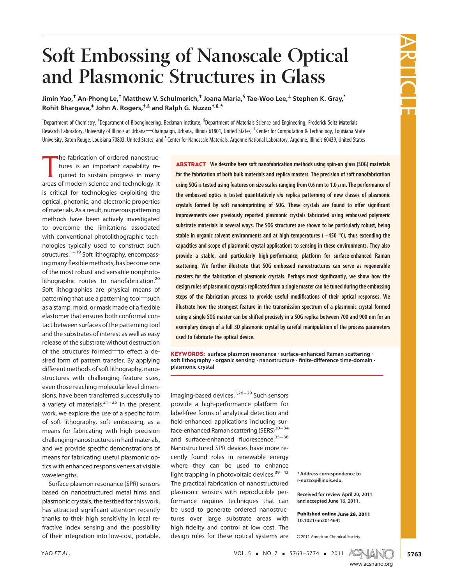# Soft Embossing of Nanoscale Optical and Plasmonic Structures in Glass

Jimin Yao,<sup>†</sup> An-Phong Le,<sup>†</sup> Matthew V. Schulmerich,<sup>‡</sup> Joana Maria,<sup>§</sup> Tae-Woo Lee,<sup>⊥</sup> Stephen K. Gray,<sup>¶</sup> Rohit Bhargava,‡ John A. Rogers,†,§ and Ralph G. Nuzzo†,§,\*

<sup>†</sup>Department of Chemistry, <sup>‡</sup>Department of Bioengineering, Beckman Institute, <sup>§</sup>Department of Materials Science and Engineering, Frederick Seitz Materials Research Laboratory, University of Illinois at Urbana—Champaign, Urbana, Illinois 61801, United States, <sup>⊥</sup>Center for Computation & Technology, Louisiana State University, Baton Rouge, Louisiana 70803, United States, and <sup>¶</sup>Center for Nanoscale Materials, Argonne National Laboratory, Argonne, Illinois 60439, United States

The Tabrication or ordered nanostructures is an important capability required to sustain progress in many<br>areas of modern science and technology. It he fabrication of ordered nanostructures is an important capability required to sustain progress in many is critical for technologies exploiting the optical, photonic, and electronic properties ofmaterials. As a result, numerous patterning methods have been actively investigated to overcome the limitations associated with conventional photolithographic technologies typically used to construct such structures.<sup>1–19</sup> Soft lithography, encompassing many flexible methods, has become one of the most robust and versatile nonphotolithographic routes to nanofabrication.<sup>20</sup> Soft lithographies are physical means of patterning that use a patterning tool-such as a stamp, mold, or mask made of a flexible elastomer that ensures both conformal contact between surfaces of the patterning tool and the substrates of interest as well as easy release of the substrate without destruction of the structures formed-to effect a desired form of pattern transfer. By applying different methods of soft lithography, nanostructures with challenging feature sizes, even those reaching molecular level dimensions, have been transferred successfully to a variety of materials. $^{21-25}$  In the present work, we explore the use of a specific form of soft lithography, soft embossing, as a means for fabricating with high precision challenging nanostructures in hard materials, and we provide specific demonstrations of means for fabricating useful plasmonic optics with enhanced responsiveness at visible wavelengths.

Surface plasmon resonance (SPR) sensors based on nanostructured metal films and plasmonic crystals, the testbed for this work, has attracted significant attention recently thanks to their high sensitivity in local refractive index sensing and the possibility of their integration into low-cost, portable,

ABSTRACT We describe here soft nanofabrication methods using spin-on glass (SOG) materials for the fabrication of both bulk materials and replica masters. The precision of soft nanofabrication using SOG is tested using features on size scales ranging from 0.6 nm to 1.0  $\mu$ m. The performance of the embossed optics is tested quantitatively via replica patterning of new classes of plasmonic crystals formed by soft nanoimprinting of SOG. These crystals are found to offer significant improvements over previously reported plasmonic crystals fabricated using embossed polymeric substrate materials in several ways. The SOG structures are shown to be particularly robust, being stable in organic solvent environments and at high temperatures ( $\sim$ 450 °C), thus extending the capacities and scope of plasmonic crystal applications to sensing in these environments. They also provide a stable, and particularly high-performance, platform for surface-enhanced Raman scattering. We further illustrate that SOG embossed nanostructures can serve as regenerable masters for the fabrication of plasmonic crystals. Perhaps most significantly, we show how the design rules of plasmonic crystals replicated from a single master can be tuned during the embossing steps of the fabrication process to provide useful modifications of their optical responses. We illustrate how the strongest feature in the transmission spectrum of a plasmonic crystal formed using a single SOG master can be shifted precisely in a SOG replica between 700 and 900 nm for an exemplary design of a full 3D plasmonic crystal by careful manipulation of the process parameters used to fabricate the optical device.

KEYWORDS: surface plasmon resonance · surface-enhanced Raman scattering · soft lithography · organic sensing · nanostructure · finite-difference time-domain · plasmonic crystal

imaging-based devices.<sup>1,26–29</sup> Such sensors provide a high-performance platform for label-free forms of analytical detection and field-enhanced applications including surface-enhanced Raman scattering (SERS)<sup>30–34</sup> and surface-enhanced fluorescence.<sup>35–38</sup> Nanostructured SPR devices have more recently found roles in renewable energy where they can be used to enhance light trapping in photovoltaic devices.<sup>39–42</sup> The practical fabrication of nanostructured plasmonic sensors with reproducible performance requires techniques that can be used to generate ordered nanostructures over large substrate areas with high fidelity and control at low cost. The design rules for these optical systems are

\* Address correspondence to r-nuzzo@illinois.edu.

Received for review April 20, 2011 and accepted June 16, 2011.

Published online June 28, 2011 10.1021/nn201464t

C 2011 American Chemical Society



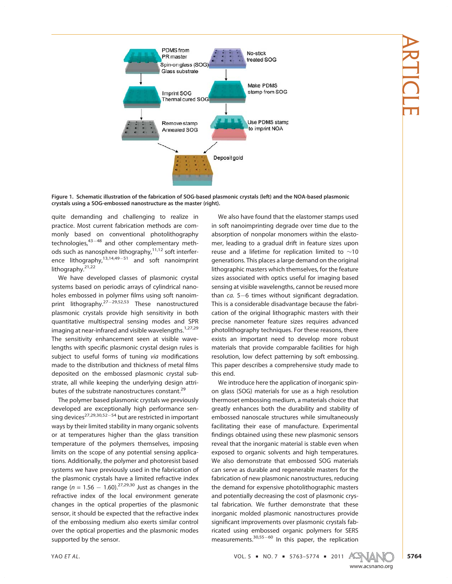

Figure 1. Schematic illustration of the fabrication of SOG-based plasmonic crystals (left) and the NOA-based plasmonic crystals using a SOG-embossed nanostructure as the master (right).

quite demanding and challenging to realize in practice. Most current fabrication methods are commonly based on conventional photolithography technologies,<sup>43–48</sup> and other complementary methods such as nanosphere lithography, $11,12$  soft interference lithography,<sup>13,14,49–51</sup> and soft nanoimprint lithography.<sup>21,22</sup>

We have developed classes of plasmonic crystal systems based on periodic arrays of cylindrical nanoholes embossed in polymer films using soft nanoimprint lithography.<sup>27–29,52,53</sup> These nanostructured plasmonic crystals provide high sensitivity in both quantitative multispectral sensing modes and SPR imaging at near-infrared and visible wavelengths.<sup>1,27,29</sup> The sensitivity enhancement seen at visible wavelengths with specific plasmonic crystal design rules is subject to useful forms of tuning via modifications made to the distribution and thickness of metal films deposited on the embossed plasmonic crystal substrate, all while keeping the underlying design attributes of the substrate nanostructures constant.<sup>29</sup>

The polymer based plasmonic crystals we previously developed are exceptionally high performance sensing devices<sup>27,29,30,52–54</sup> but are restricted in important ways by their limited stability in many organic solvents or at temperatures higher than the glass transition temperature of the polymers themselves, imposing limits on the scope of any potential sensing applications. Additionally, the polymer and photoresist based systems we have previously used in the fabrication of the plasmonic crystals have a limited refractive index range ( $n = 1.56 - 1.60$ ).<sup>27,29,30</sup> Just as changes in the refractive index of the local environment generate changes in the optical properties of the plasmonic sensor, it should be expected that the refractive index of the embossing medium also exerts similar control over the optical properties and the plasmonic modes supported by the sensor.

We also have found that the elastomer stamps used in soft nanoimprinting degrade over time due to the absorption of nonpolar monomers within the elastomer, leading to a gradual drift in feature sizes upon reuse and a lifetime for replication limited to ∼10 generations. This places a large demand on the original lithographic masters which themselves, for the feature sizes associated with optics useful for imaging based sensing at visible wavelengths, cannot be reused more than ca. 5–6 times without significant degradation. This is a considerable disadvantage because the fabrication of the original lithographic masters with their precise nanometer feature sizes requires advanced photolithography techniques. For these reasons, there exists an important need to develop more robust materials that provide comparable facilities for high resolution, low defect patterning by soft embossing. This paper describes a comprehensive study made to this end.

We introduce here the application of inorganic spinon glass (SOG) materials for use as a high resolution thermoset embossing medium, a materials choice that greatly enhances both the durability and stability of embossed nanoscale structures while simultaneously facilitating their ease of manufacture. Experimental findings obtained using these new plasmonic sensors reveal that the inorganic material is stable even when exposed to organic solvents and high temperatures. We also demonstrate that embossed SOG materials can serve as durable and regenerable masters for the fabrication of new plasmonic nanostructures, reducing the demand for expensive photolithographic masters and potentially decreasing the cost of plasmonic crystal fabrication. We further demonstrate that these inorganic molded plasmonic nanostructures provide significant improvements over plasmonic crystals fabricated using embossed organic polymers for SERS measurements.<sup>30,55–60</sup> In this paper, the replication

YAO ET AL.  $\overline{X}$   $\overline{Y}$   $\overline{Y}$   $\overline{Y}$   $\overline{Y}$   $\overline{Y}$   $\overline{Y}$   $\overline{Y}$   $\overline{Y}$   $\overline{Y}$   $\overline{Y}$   $\overline{Y}$   $\overline{Y}$   $\overline{Y}$   $\overline{Y}$   $\overline{Y}$   $\overline{Y}$   $\overline{Y}$   $\overline{Y}$   $\overline{Y}$   $\overline{Y}$   $\overline{Y}$   $\overline{Y}$   $\over$ 

www.acsnano.org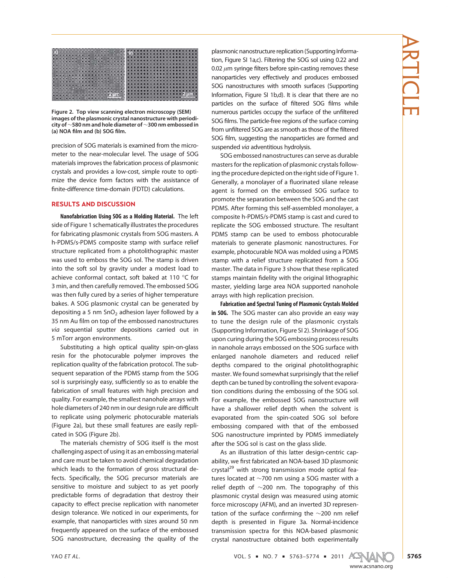

Figure 2. Top view scanning electron microscopy (SEM) images of the plasmonic crystal nanostructure with periodicity of ∼580 nm and hole diameter of ∼300 nm embossed in (a) NOA film and (b) SOG film.

precision of SOG materials is examined from the micrometer to the near-molecular level. The usage of SOG materials improves the fabrication process of plasmonic crystals and provides a low-cost, simple route to optimize the device form factors with the assistance of finite-difference time-domain (FDTD) calculations.

# RESULTS AND DISCUSSION

Nanofabrication Using SOG as a Molding Material. The left side of Figure 1 schematically illustrates the procedures for fabricating plasmonic crystals from SOG masters. A h-PDMS/s-PDMS composite stamp with surface relief structure replicated from a photolithographic master was used to emboss the SOG sol. The stamp is driven into the soft sol by gravity under a modest load to achieve conformal contact, soft baked at 110  $^{\circ}$ C for 3 min, and then carefully removed. The embossed SOG was then fully cured by a series of higher temperature bakes. A SOG plasmonic crystal can be generated by depositing a 5 nm  $SnO<sub>2</sub>$  adhesion layer followed by a 35 nm Au film on top of the embossed nanostructures via sequential sputter depositions carried out in 5 mTorr argon environments.

Substituting a high optical quality spin-on-glass resin for the photocurable polymer improves the replication quality of the fabrication protocol. The subsequent separation of the PDMS stamp from the SOG sol is surprisingly easy, sufficiently so as to enable the fabrication of small features with high precision and quality. For example, the smallest nanohole arrays with hole diameters of 240 nm in our design rule are difficult to replicate using polymeric photocurable materials (Figure 2a), but these small features are easily replicated in SOG (Figure 2b).

The materials chemistry of SOG itself is the most challenging aspect of using it as an embossing material and care must be taken to avoid chemical degradation which leads to the formation of gross structural defects. Specifically, the SOG precursor materials are sensitive to moisture and subject to as yet poorly predictable forms of degradation that destroy their capacity to effect precise replication with nanometer design tolerance. We noticed in our experiments, for example, that nanoparticles with sizes around 50 nm frequently appeared on the surface of the embossed SOG nanostructure, decreasing the quality of the

plasmonic nanostructure replication(Supporting Information, Figure SI 1a,c). Filtering the SOG sol using 0.22 and 0.02  $\mu$ m syringe filters before spin-casting removes these nanoparticles very effectively and produces embossed SOG nanostructures with smooth surfaces (Supporting Information, Figure SI 1b,d). It is clear that there are no particles on the surface of filtered SOG films while numerous particles occupy the surface of the unfiltered SOG films. The particle-free regions of the surface coming from unfiltered SOG are as smooth as those of the filtered SOG film, suggesting the nanoparticles are formed and suspended via adventitious hydrolysis.

SOG embossed nanostructures can serve as durable masters for the replication of plasmonic crystals following the procedure depicted on the right side of Figure 1. Generally, a monolayer of a fluorinated silane release agent is formed on the embossed SOG surface to promote the separation between the SOG and the cast PDMS. After forming this self-assembled monolayer, a composite h-PDMS/s-PDMS stamp is cast and cured to replicate the SOG embossed structure. The resultant PDMS stamp can be used to emboss photocurable materials to generate plasmonic nanostructures. For example, photocurable NOA was molded using a PDMS stamp with a relief structure replicated from a SOG master. The data in Figure 3 show that these replicated stamps maintain fidelity with the original lithographic master, yielding large area NOA supported nanohole arrays with high replication precision.

Fabrication and Spectral Tuning of Plasmonic Crystals Molded in SOG. The SOG master can also provide an easy way to tune the design rule of the plasmonic crystals (Supporting Information, Figure SI 2). Shrinkage of SOG upon curing during the SOG embossing process results in nanohole arrays embossed on the SOG surface with enlarged nanohole diameters and reduced relief depths compared to the original photolithographic master. We found somewhat surprisingly that the relief depth can be tuned by controlling the solvent evaporation conditions during the embossing of the SOG sol. For example, the embossed SOG nanostructure will have a shallower relief depth when the solvent is evaporated from the spin-coated SOG sol before embossing compared with that of the embossed SOG nanostructure imprinted by PDMS immediately after the SOG sol is cast on the glass slide.

As an illustration of this latter design-centric capability, we first fabricated an NOA-based 3D plasmonic crystal<sup>29</sup> with strong transmission mode optical features located at ∼700 nm using a SOG master with a relief depth of ∼200 nm. The topography of this plasmonic crystal design was measured using atomic force microscopy (AFM), and an inverted 3D representation of the surface confirming the <sup>∼</sup>200 nm relief depth is presented in Figure 3a. Normal-incidence transmission spectra for this NOA-based plasmonic crystal nanostructure obtained both experimentally

YAO ET AL. 2011 ASSEMBLED TO A SERVICE 5 TO A SERVICE 5 TO A SERVICE 5 TO A SERVICE 5 TO A SERVICE 5 TO A SERVICE 5 TO A SERVICE 5 TO A SERVICE 5 TO A SERVICE 5 TO A SERVICE 5 TO A SERVICE 5 TO A SERVICE 5 TO A SERVICE 5

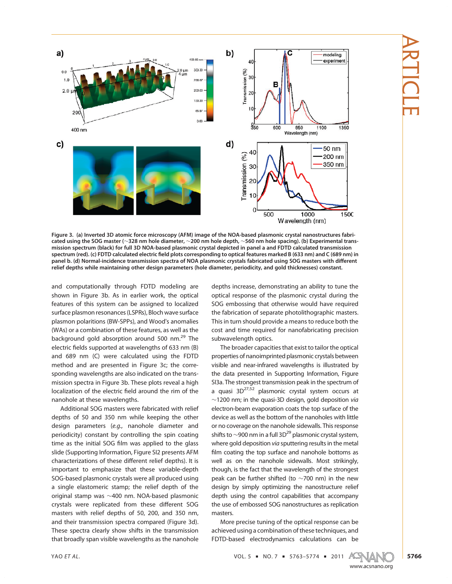

Figure 3. (a) Inverted 3D atomic force microscopy (AFM) image of the NOA-based plasmonic crystal nanostructures fabricated using the SOG master (∼328 nm hole diameter, ∼200 nm hole depth, ∼560 nm hole spacing). (b) Experimental transmission spectrum (black) for full 3D NOA-based plasmonic crystal depicted in panel a and FDTD calculated transmission spectrum (red). (c) FDTD calculated electric field plots corresponding to optical features marked B (633 nm) and C (689 nm) in panel b. (d) Normal-incidence transmission spectra of NOA plasmonic crystals fabricated using SOG masters with different relief depths while maintaining other design parameters (hole diameter, periodicity, and gold thicknesses) constant.

and computationally through FDTD modeling are shown in Figure 3b. As in earlier work, the optical features of this system can be assigned to localized surface plasmon resonances (LSPRs), Bloch wave surface plasmon polaritions (BW-SPPs), and Wood's anomalies (WAs) or a combination of these features, as well as the background gold absorption around 500 nm.<sup>29</sup> The electric fields supported at wavelengths of 633 nm (B) and 689 nm (C) were calculated using the FDTD method and are presented in Figure 3c; the corresponding wavelengths are also indicated on the transmission spectra in Figure 3b. These plots reveal a high localization of the electric field around the rim of the nanohole at these wavelengths.

Additional SOG masters were fabricated with relief depths of 50 and 350 nm while keeping the other design parameters (e.g., nanohole diameter and periodicity) constant by controlling the spin coating time as the initial SOG film was applied to the glass slide (Supporting Information, Figure SI2 presents AFM characterizations of these different relief depths). It is important to emphasize that these variable-depth SOG-based plasmonic crystals were all produced using a single elastomeric stamp; the relief depth of the original stamp was ∼400 nm. NOA-based plasmonic crystals were replicated from these different SOG masters with relief depths of 50, 200, and 350 nm, and their transmission spectra compared (Figure 3d). These spectra clearly show shifts in the transmission that broadly span visible wavelengths as the nanohole

depths increase, demonstrating an ability to tune the optical response of the plasmonic crystal during the SOG embossing that otherwise would have required the fabrication of separate photolithographic masters. This in turn should provide a means to reduce both the cost and time required for nanofabricating precision subwavelength optics.

The broader capacities that exist to tailor the optical properties of nanoimprinted plasmonic crystals between visible and near-infrared wavelengths is illustrated by the data presented in Supporting Information, Figure SI3a. The strongest transmission peak in the spectrum of a quasi  $3D^{27,52}$  plasmonic crystal system occurs at ∼1200 nm; in the quasi-3D design, gold deposition via electron-beam evaporation coats the top surface of the device as well as the bottom of the nanoholes with little or no coverage on the nanohole sidewalls. This response shifts to  $\sim$ 900 nm in a full 3D<sup>29</sup> plasmonic crystal system, where gold deposition via sputtering results in the metal film coating the top surface and nanohole bottoms as well as on the nanohole sidewalls. Most strikingly, though, is the fact that the wavelength of the strongest peak can be further shifted (to ∼700 nm) in the new design by simply optimizing the nanostructure relief depth using the control capabilities that accompany the use of embossed SOG nanostructures as replication masters.

More precise tuning of the optical response can be achieved using a combination of these techniques, and FDTD-based electrodynamics calculations can be

YAO ET AL. VOL. 5 ' NO. 7 ' 5763–5774 ' 2011

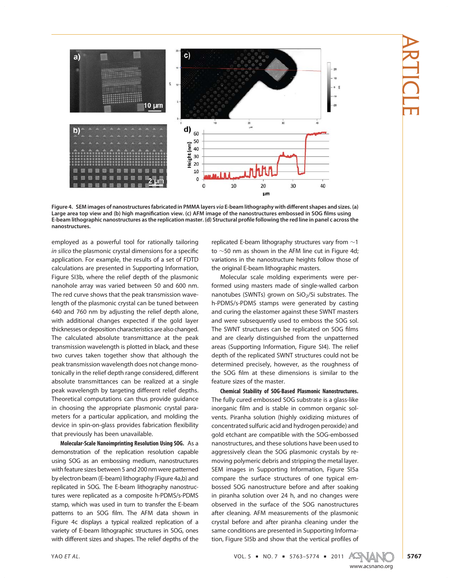

Figure 4. SEM images of nanostructures fabricated in PMMA layers via E-beam lithography with different shapes and sizes. (a) Large area top view and (b) high magnification view. (c) AFM image of the nanostructures embossed in SOG films using E-beam lithographic nanostructures as the replication master. (d) Structural profile following the red line in panel c across the nanostructures.

employed as a powerful tool for rationally tailoring in silico the plasmonic crystal dimensions for a specific application. For example, the results of a set of FDTD calculations are presented in Supporting Information, Figure SI3b, where the relief depth of the plasmonic nanohole array was varied between 50 and 600 nm. The red curve shows that the peak transmission wavelength of the plasmonic crystal can be tuned between 640 and 760 nm by adjusting the relief depth alone, with additional changes expected if the gold layer thicknesses or deposition characteristics are also changed. The calculated absolute transmittance at the peak transmission wavelength is plotted in black, and these two curves taken together show that although the peak transmission wavelength does not change monotonically in the relief depth range considered, different absolute transmittances can be realized at a single peak wavelength by targeting different relief depths. Theoretical computations can thus provide guidance in choosing the appropriate plasmonic crystal parameters for a particular application, and molding the device in spin-on-glass provides fabrication flexibility that previously has been unavailable.

Molecular-Scale Nanoimprinting Resolution Using SOG. As a demonstration of the replication resolution capable using SOG as an embossing medium, nanostructures with feature sizes between 5 and 200 nm were patterned by electron beam (E-beam) lithography (Figure 4a,b) and replicated in SOG. The E-beam lithography nanostructures were replicated as a composite h-PDMS/s-PDMS stamp, which was used in turn to transfer the E-beam patterns to an SOG film. The AFM data shown in Figure 4c displays a typical realized replication of a variety of E-beam lithographic structures in SOG, ones with different sizes and shapes. The relief depths of the

replicated E-beam lithography structures vary from ∼1 to ∼50 nm as shown in the AFM line cut in Figure 4d; variations in the nanostructure heights follow those of the original E-beam lithographic masters.

Molecular scale molding experiments were performed using masters made of single-walled carbon nanotubes (SWNTs) grown on  $SiO<sub>2</sub>/Si$  substrates. The h-PDMS/s-PDMS stamps were generated by casting and curing the elastomer against these SWNT masters and were subsequently used to emboss the SOG sol. The SWNT structures can be replicated on SOG films and are clearly distinguished from the unpatterned areas (Supporting Information, Figure SI4). The relief depth of the replicated SWNT structures could not be determined precisely, however, as the roughness of the SOG film at these dimensions is similar to the feature sizes of the master.

Chemical Stability of SOG-Based Plasmonic Nanostructures. The fully cured embossed SOG substrate is a glass-like inorganic film and is stable in common organic solvents. Piranha solution (highly oxidizing mixtures of concentrated sulfuric acid and hydrogen peroxide) and gold etchant are compatible with the SOG-embossed nanostructures, and these solutions have been used to aggressively clean the SOG plasmonic crystals by removing polymeric debris and stripping the metal layer. SEM images in Supporting Information, Figure SI5a compare the surface structures of one typical embossed SOG nanostructure before and after soaking in piranha solution over 24 h, and no changes were observed in the surface of the SOG nanostructures after cleaning. AFM measurements of the plasmonic crystal before and after piranha cleaning under the same conditions are presented in Supporting Information, Figure SI5b and show that the vertical profiles of

YAO ET AL. 2011 AL.

ARTICLE

www.acsnano.org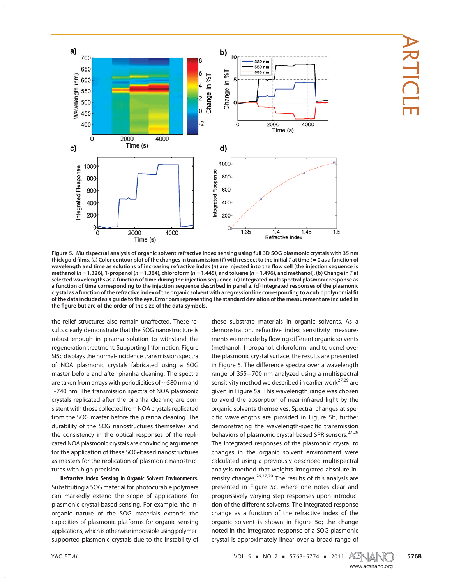

Figure 5. Multispectral analysis of organic solvent refractive index sensing using full 3D SOG plasmonic crystals with 35 nm thick gold films. (a) Color contour plot of the changes in transmission (T) with respect to the initial T at time  $t = 0$  as a function of wavelength and time as solutions of increasing refractive index (n) are injected into the flow cell (the injection sequence is methanol (n = 1.326), 1-propanol (n = 1.384), chloroform (n = 1.445), and toluene (n = 1.496), and methanol). (b) Change in T at selected wavelengths as a function of time during the injection sequence. (c) Integrated multispectral plasmonic response as a function of time corresponding to the injection sequence described in panel a. (d) Integrated responses of the plasmonic crystal as a function of the refractive index of the organic solvent with a regression line corresponding to a cubic polynomial fit of the data included as a guide to the eye. Error bars representing the standard deviation of the measurement are included in the figure but are of the order of the size of the data symbols.

the relief structures also remain unaffected. These results clearly demonstrate that the SOG nanostructure is robust enough in piranha solution to withstand the regeneration treatment. Supporting Information, Figure SI5c displays the normal-incidence transmission spectra of NOA plasmonic crystals fabricated using a SOG master before and after piranha cleaning. The spectra are taken from arrays with periodicities of ∼580 nm and ∼740 nm. The transmission spectra of NOA plasmonic crystals replicated after the piranha cleaning are consistent with those collected from NOA crystals replicated from the SOG master before the piranha cleaning. The durability of the SOG nanostructures themselves and the consistency in the optical responses of the replicated NOA plasmonic crystals are convincing arguments for the application of these SOG-based nanostructures as masters for the replication of plasmonic nanostructures with high precision.

Refractive Index Sensing in Organic Solvent Environments. Substituting a SOG material for photocurable polymers can markedly extend the scope of applications for plasmonic crystal-based sensing. For example, the inorganic nature of the SOG materials extends the capacities of plasmonic platforms for organic sensing applications, which is otherwise impossible using polymersupported plasmonic crystals due to the instability of

these substrate materials in organic solvents. As a demonstration, refractive index sensitivity measurements were made by flowing different organic solvents (methanol, 1-propanol, chloroform, and toluene) over the plasmonic crystal surface; the results are presented in Figure 5. The difference spectra over a wavelength range of 355-700 nm analyzed using a multispectral sensitivity method we described in earlier work<sup>27,29</sup> are given in Figure 5a. This wavelength range was chosen to avoid the absorption of near-infrared light by the organic solvents themselves. Spectral changes at specific wavelengths are provided in Figure 5b, further demonstrating the wavelength-specific transmission behaviors of plasmonic crystal-based SPR sensors.<sup>27,29</sup> The integrated responses of the plasmonic crystal to changes in the organic solvent environment were calculated using a previously described multispectral analysis method that weights integrated absolute intensity changes.<sup>26,27,29</sup> The results of this analysis are presented in Figure 5c, where one notes clear and progressively varying step responses upon introduction of the different solvents. The integrated response change as a function of the refractive index of the organic solvent is shown in Figure 5d; the change noted in the integrated response of a SOG plasmonic crystal is approximately linear over a broad range of

YAO ET AL. 2011 AL.

www.acsnano.org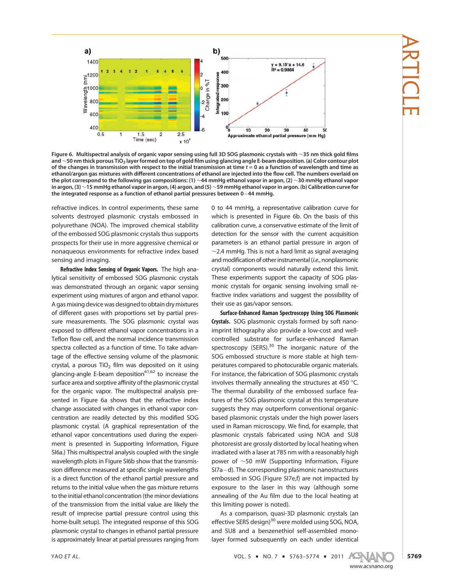

Figure 6. Multispectral analysis of organic vapor sensing using full 3D SOG plasmonic crystals with <sup>∼</sup>35 nm thick gold films and <sup>∼</sup>50 nm thick porous TiO2 layer formed on top of gold film using glancing angle E-beam deposition. (a) Color contour plot of the changes in transmission with respect to the initial transmission at time  $t = 0$  as a function of wavelength and time as ethanol/argon gas mixtures with different concentrations of ethanol are injected into the flow cell. The numbers overlaid on the plot correspond to the following gas compositions: (1) ∼44 mmHg ethanol vapor in argon, (2) ∼30 mmHg ethanol vapor in argon, (3) ∼15 mmHg ethanol vapor in argon, (4) argon, and (5) ∼59 mmHg ethanol vapor in argon. (b) Calibration curve for the integrated response as a function of ethanol partial pressures between 0-44 mmHg.

refractive indices. In control experiments, these same solvents destroyed plasmonic crystals embossed in polyurethane (NOA). The improved chemical stability of the embossed SOG plasmonic crystals thus supports prospects for their use in more aggressive chemical or nonaqueous environments for refractive index based sensing and imaging.

Refractive Index Sensing of Organic Vapors. The high analytical sensitivity of embossed SOG plasmonic crystals was demonstrated through an organic vapor sensing experiment using mixtures of argon and ethanol vapor. A gasmixing device was designed to obtain dry mixtures of different gases with proportions set by partial pressure measurements. The SOG plasmonic crystal was exposed to different ethanol vapor concentrations in a Teflon flow cell, and the normal incidence transmission spectra collected as a function of time. To take advantage of the effective sensing volume of the plasmonic crystal, a porous  $TiO<sub>2</sub>$  film was deposited on it using glancing-angle E-beam deposition $61,62$  to increase the surface area and sorptive affinity of the plasmonic crystal for the organic vapor. The multispectral analysis presented in Figure 6a shows that the refractive index change associated with changes in ethanol vapor concentration are readily detected by this modified SOG plasmonic crystal. (A graphical representation of the ethanol vapor concentrations used during the experiment is presented in Supporting Information, Figure SI6a.) This multispectral analysis coupled with the single wavelength plots in Figure SI6b show that the transmission difference measured at specific single wavelengths is a direct function of the ethanol partial pressure and returns to the initial value when the gas mixture returns to the initial ethanol concentration (the minor deviations of the transmission from the initial value are likely the result of imprecise partial pressure control using this home-built setup). The integrated response of this SOG plasmonic crystal to changes in ethanol partial pressure is approximately linear at partial pressures ranging from

0 to 44 mmHg, a representative calibration curve for which is presented in Figure 6b. On the basis of this calibration curve, a conservative estimate of the limit of detection for the sensor with the current acquisition parameters is an ethanol partial pressure in argon of ∼2.4 mmHg. This is not a hard limit as signal averaging and modification of other instrumental (i.e., nonplasmonic crystal) components would naturally extend this limit. These experiments support the capacity of SOG plasmonic crystals for organic sensing involving small refractive index variations and suggest the possibility of their use as gas/vapor sensors.

Surface-Enhanced Raman Spectroscopy Using SOG Plasmonic Crystals. SOG plasmonic crystals formed by soft nanoimprint lithography also provide a low-cost and wellcontrolled substrate for surface-enhanced Raman spectroscopy (SERS). $30$  The inorganic nature of the SOG embossed structure is more stable at high temperatures compared to photocurable organic materials. For instance, the fabrication of SOG plasmonic crystals involves thermally annealing the structures at 450  $^{\circ}$ C. The thermal durability of the embossed surface features of the SOG plasmonic crystal at this temperature suggests they may outperform conventional organicbased plasmonic crystals under the high power lasers used in Raman microscopy. We find, for example, that plasmonic crystals fabricated using NOA and SU8 photoresist are grossly distorted by local heating when irradiated with a laser at 785 nm with a reasonably high power of ∼50 mW (Supporting Information, Figure SI7a-d). The corresponding plasmonic nanostructures embossed in SOG (Figure SI7e,f) are not impacted by exposure to the laser in this way (although some annealing of the Au film due to the local heating at this limiting power is noted).

As a comparison, quasi-3D plasmonic crystals (an effective SERS design)<sup>30</sup> were molded using SOG, NOA, and SU8 and a benzenethiol self-assembled monolayer formed subsequently on each under identical

YAO ET AL. 2011 AL.

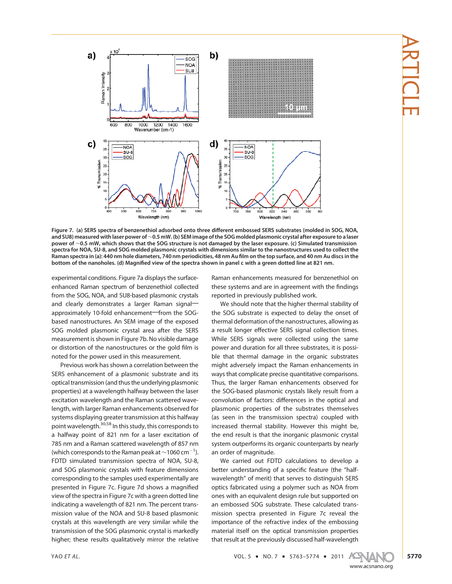

Figure 7. (a) SERS spectra of benzenethiol adsorbed onto three different embossed SERS substrates (molded in SOG, NOA, and SU8) measured with laser power of ∼0.5 mW. (b) SEM image of the SOG molded plasmonic crystal after exposure to a laser power of ∼0.5 mW, which shows that the SOG structure is not damaged by the laser exposure. (c) Simulated transmission spectra for NOA, SU-8, and SOG molded plasmonic crystals with dimensions similar to the nanostructures used to collect the Raman spectra in (a): 440 nm hole diameters, 740 nm periodicities, 48 nm Au film on the top surface, and 40 nm Au discs in the bottom of the nanoholes. (d) Magnified view of the spectra shown in panel c with a green dotted line at 821 nm.

experimental conditions. Figure 7a displays the surfaceenhanced Raman spectrum of benzenethiol collected from the SOG, NOA, and SU8-based plasmonic crystals and clearly demonstrates a larger Raman signalapproximately 10-fold enhancement-from the SOGbased nanostructures. An SEM image of the exposed SOG molded plasmonic crystal area after the SERS measurement is shown in Figure 7b. No visible damage or distortion of the nanostructures or the gold film is noted for the power used in this measurement.

Previous work has shown a correlation between the SERS enhancement of a plasmonic substrate and its optical transmission (and thus the underlying plasmonic properties) at a wavelength halfway between the laser excitation wavelength and the Raman scattered wavelength, with larger Raman enhancements observed for systems displaying greater transmission at this halfway point wavelength.30,58 In this study, this corresponds to a halfway point of 821 nm for a laser excitation of 785 nm and a Raman scattered wavelength of 857 nm (which corresponds to the Raman peak at  $\sim$ 1060 cm $^{-1}$ ). FDTD simulated transmission spectra of NOA, SU-8, and SOG plasmonic crystals with feature dimensions corresponding to the samples used experimentally are presented in Figure 7c. Figure 7d shows a magnified view of the spectra in Figure 7c with a green dotted line indicating a wavelength of 821 nm. The percent transmission value of the NOA and SU-8 based plasmonic crystals at this wavelength are very similar while the transmission of the SOG plasmonic crystal is markedly higher; these results qualitatively mirror the relative

Raman enhancements measured for benzenethiol on these systems and are in agreement with the findings reported in previously published work.

We should note that the higher thermal stability of the SOG substrate is expected to delay the onset of thermal deformation of the nanostructures, allowing as a result longer effective SERS signal collection times. While SERS signals were collected using the same power and duration for all three substrates, it is possible that thermal damage in the organic substrates might adversely impact the Raman enhancements in ways that complicate precise quantitative comparisons. Thus, the larger Raman enhancements observed for the SOG-based plasmonic crystals likely result from a convolution of factors: differences in the optical and plasmonic properties of the substrates themselves (as seen in the transmission spectra) coupled with increased thermal stability. However this might be, the end result is that the inorganic plasmonic crystal system outperforms its organic counterparts by nearly an order of magnitude.

We carried out FDTD calculations to develop a better understanding of a specific feature (the "halfwavelength" of merit) that serves to distinguish SERS optics fabricated using a polymer such as NOA from ones with an equivalent design rule but supported on an embossed SOG substrate. These calculated transmission spectra presented in Figure 7c reveal the importance of the refractive index of the embossing material itself on the optical transmission properties that result at the previously discussed half-wavelength

YAO ET AL. 2011 AL.

www.acsnano.org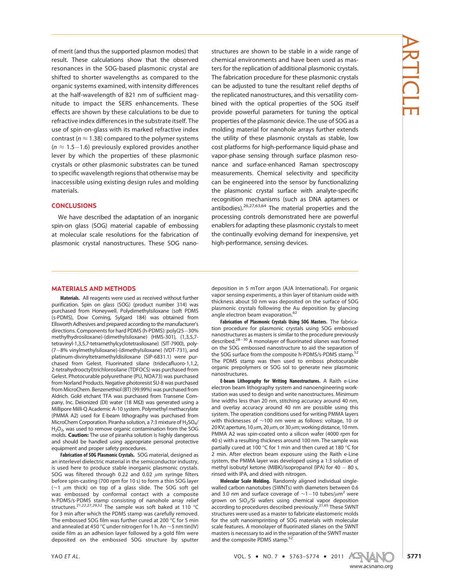of merit (and thus the supported plasmon modes) that result. These calculations show that the observed resonances in the SOG-based plasmonic crystal are shifted to shorter wavelengths as compared to the organic systems examined, with intensity differences at the half-wavelength of 821 nm of sufficient magnitude to impact the SERS enhancements. These effects are shown by these calculations to be due to refractive index differences in the substrate itself. The use of spin-on-glass with its marked refractive index contrast ( $n \approx 1.38$ ) compared to the polymer systems  $(n \approx 1.5 - 1.6)$  previously explored provides another lever by which the properties of these plasmonic crystals or other plasmonic substrates can be tuned to specific wavelength regions that otherwise may be inaccessible using existing design rules and molding materials.

# **CONCLUSIONS**

We have described the adaptation of an inorganic spin-on glass (SOG) material capable of embossing at molecular scale resolutions for the fabrication of plasmonic crystal nanostructures. These SOG nanostructures are shown to be stable in a wide range of chemical environments and have been used as masters for the replication of additional plasmonic crystals. The fabrication procedure for these plasmonic crystals can be adjusted to tune the resultant relief depths of the replicated nanostructures, and this versatility combined with the optical properties of the SOG itself provide powerful parameters for tuning the optical properties of the plasmonic device. The use of SOG as a molding material for nanohole arrays further extends the utility of these plasmonic crystals as stable, low cost platforms for high-performance liquid-phase and vapor-phase sensing through surface plasmon resonance and surface-enhanced Raman spectroscopy measurements. Chemical selectivity and specificity can be engineered into the sensor by functionalizing the plasmonic crystal surface with analyte-specific recognition mechanisms (such as DNA aptamers or antibodies).26,27,63,64 The material properties and the processing controls demonstrated here are powerful enablers for adapting these plasmonic crystals to meet the continually evolving demand for inexpensive, yet high-performance, sensing devices.

# ARTICLE

## MATERIALS AND METHODS

Materials. All reagents were used as received without further purification. Spin on glass (SOG) (product number 314) was purchased from Honeywell. Polydimethylsiloxane (soft PDMS (s-PDMS), Dow Corning, Sylgard 184) was obtained from Ellsworth Adhesives and prepared according to the manufacturer's directions. Components for hard PDMS (h-PDMS): poly(25-30% methylhydrosiloxane)-(dimethylsiloxane) (HMS-301), (1,3,5,7 tetravinyl-1,3,5,7-tetramethylcyclotetrasiloxane) (SIT-7900), poly- (7-8% vinylmethylsiloxane)-(dimethylsiloxane) (VDT-731), and platinum-divinyltetramethyldisiloxane (SIP-6831.1) were purchased from Gelest. Fluorinated silane (tridecafluoro-1,1,2, 2-tetrahydrooctyl)trichlorosilane (TDFOCS) was purchased from Gelest. Photocurable polyurethane (PU, NOA73) was purchased from Norland Products. Negative photoresist SU-8 was purchased from MicroChem. Benzenethiol (BT) (99.99%) was purchased from Aldrich. Gold etchant TFA was purchased from Transene Company, Inc. Deionized (DI) water (18 MΩ) was generated using a Millipore Milli-Q Academic A-10 system. Polymethyl methacrylate (PMMA A2) used for E-beam lithography was purchased from MicroChem Corporation. Piranha solution, a 7:3 mixture of H<sub>2</sub>SO<sub>4</sub>/  $H_2O_2$ , was used to remove organic contamination from the SOG molds. **Caution:** The use of piranha solution is highly dangerous and should be handled using appropriate personal protective equipment and proper safety procedures.

Fabrication of SOG Plasmonic Crystals. SOG material, designed as an interlevel dielectric material in the semiconductor industry, is used here to produce stable inorganic plasmonic crystals. SOG was filtered through 0.22 and 0.02  $\mu$ m syringe filters before spin-casting (700 rpm for 10 s) to form a thin SOG layer ( $∼1$   $\mu$ m thick) on top of a glass slide. The SOG soft gel was embossed by conformal contact with a composite h-PDMS/s-PDMS stamp consisting of nanohole array relief structures.  $21,22,27,29,52$  The sample was soft baked at 110 °C for 3 min after which the PDMS stamp was carefully removed. The embossed SOG film was further cured at 200  $^{\circ}$ C for 5 min and annealed at 450 °C under nitrogen for 1 h. An ∼5 nm tin(IV) oxide film as an adhesion layer followed by a gold film were deposited on the embossed SOG structure by sputter deposition in 5 mTorr argon (AJA International). For organic vapor sensing experiments, a thin layer of titanium oxide with thickness about 50 nm was deposited on the surface of SOG plasmonic crystals following the Au deposition by glancing<br>angle electron beam evaporation.<sup>62</sup>

Fabrication of Plasmonic Crystals Using SOG Masters. The fabrication procedure for plasmonic crystals using SOG embossed nanostructures as masters is similar to the procedure previously described.<sup>28-30</sup> A monolayer of fluorinated silanes was formed on the SOG embossed nanostructure to aid the separation of the SOG surface from the composite h-PDMS/s-PDMS stamp.<sup>52</sup> The PDMS stamp was then used to emboss photocurable organic prepolymers or SOG sol to generate new plasmonic nanostructures.

E-beam Lithography for Writing Nanostructures. A Raith e-Line electron beam lithography system and nanoengineering workstation was used to design and write nanostructures. Minimum line widths less than 20 nm, stitching accuracy around 40 nm, and overlay accuracy around 40 nm are possible using this system. The operation conditions used for writing PMMA layers with thicknesses of ∼100 nm were as follows: voltage, 10 or 20 KV; aperture, 10  $\mu$ m, 20  $\mu$ m, or 30  $\mu$ m; working distance, 10 mm. PMMA A2 was spin-coated onto a silicon wafer (4000 rpm for 40 s) with a resulting thickness around 100 nm. The sample was partially cured at 100 °C for 1 min and then cured at 180 °C for 2 min. After electron beam exposure using the Raith e-Line system, the PMMA layer was developed using a 1:3 solution of methyl isobutyl ketone (MIBK)/isopropanol (IPA) for 40 – 80 s, rinsed with IPA, and dried with nitrogen.

Molecular Scale Molding. Randomly aligned individual singlewalled carbon nanotubes (SWNTs) with diameters between 0.6 and 3.0 nm and surface coverage of  $\sim$ 1-10 tubes/ $\mu$ m<sup>2</sup> were grown on  $SiO<sub>2</sub>/Si$  wafers using chemical vapor deposition according to procedures described previously.<sup>21,65</sup> These SWNT structures were used as a master to fabricate elastomeric molds for the soft nanoimprinting of SOG materials with molecular scale features. A monolayer of fluorinated silanes on the SWNT masters is necessary to aid in the separation of the SWNT master and the composite PDMS stamp.<sup>5</sup>

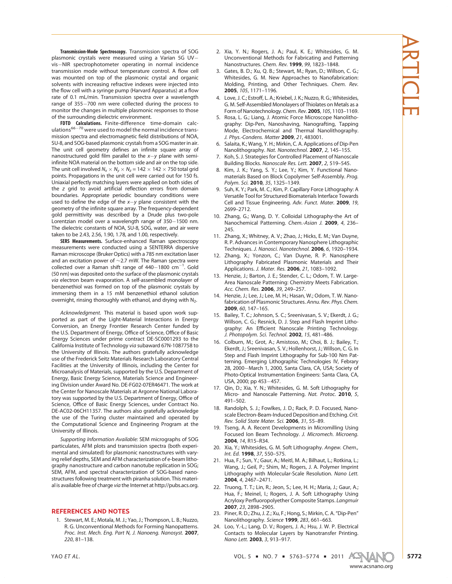Transmission-Mode Spectroscopy. Transmission spectra of SOG plasmonic crystals were measured using a Varian 5G UV vis-NIR spectrophotometer operating in normal incidence transmission mode without temperature control. A flow cell was mounted on top of the plasmonic crystal and organic solvents with increasing refractive indexes were injected into the flow cell with a syringe pump (Harvard Apparatus) at a flow rate of 0.1 mL/min. Transmission spectra over a wavelength range of 355-700 nm were collected during the process to monitor the changes in multiple plasmonic responses to those of the surrounding dielectric environment.

**FDTD Calculations.** Finite-difference time-domain calc-<br>ulations<sup>66–70</sup> were used to model the normal incidence transmission spectra and electromagnetic field distributions of NOA, SU-8, and SOG-based plasmonic crystals from a SOG master in air. The unit cell geometry defines an infinite square array of nanostructured gold film parallel to the  $x-y$  plane with semiinfinite NOA material on the bottom side and air on the top side. The unit cell involved  $N_x \times N_y \times N_z = 142 \times 142 \times 750$  total grid points. Propagations in the unit cell were carried out for 150 fs. Uniaxial perfectly matching layers were applied on both sides of the z grid to avoid artificial reflection errors from domain boundaries. Appropriate periodic boundary conditions were used to define the edge of the  $x-y$  plane consistent with the geometry of the infinite square array. The frequency-dependent gold permittivity was described by a Drude plus two-pole Lorentzian model over a wavelength range of 350-1500 nm. The dielectric constants of NOA, SU-8, SOG, water, and air were taken to be 2.43, 2.56, 1.90, 1.78, and 1.00, respectively.

SERS Measurements. Surface-enhanced Raman spectroscopy measurements were conducted using a SENTERRA dispersive Raman microscope (Bruker Optics) with a 785 nm excitation laser and an excitation power of ∼2.7 mW. The Raman spectra were  $\text{collected over a Raman shift range of } 440-1800 \text{ cm}^{-1}$ . Gold (50 nm) was deposited onto the surface of the plasmonic crystals via electron beam evaporation. A self-assembled monolayer of benzenethiol was formed on top of the plasmonic crystals by immersing them in a 15 mM benzenethiol ethanol solution overnight, rinsing thoroughly with ethanol, and drying with N<sub>2</sub>.

Acknowledgment. This material is based upon work supported as part of the Light-Material Interactions in Energy Conversion, an Energy Frontier Research Center funded by the U.S. Department of Energy, Office of Science, Office of Basic Energy Sciences under prime contract DE-SC0001293 to the California Institute of Technology via subaward 67N-1087758 to the University of Illinois. The authors gratefully acknowledge use of the Frederick Seitz Materials Research Laboratory Central Facilities at the University of Illinois, including the Center for Microanalysis of Materials, supported by the U.S. Department of Energy, Basic Energy Science, Materials Science and Engineering Division under Award No. DE-FG02-07ER46471. The work at the Center for Nanoscale Materials at Argonne National Laboratory was supported by the U.S. Department of Energy, Office of Science, Office of Basic Energy Sciences, under Contract No. DE-AC02-06CH11357. The authors also gratefully acknowledge the use of the Turing cluster maintained and operated by the Computational Science and Engineering Program at the University of Illinois.

Supporting Information Available: SEM micrographs of SOG particulates, AFM plots and transmission spectra (both experimental and simulated) for plasmonic nanostructures with varying relief depths, SEM and AFM characterization of e-beam lithography nanostructure and carbon nanotube replication in SOG; SEM, AFM, and spectral characterization of SOG-based nanostructures following treatment with piranha solution. This material is available free of charge via the Internet at http://pubs.acs.org.

### REFERENCES AND NOTES

1. Stewart, M. E.; Motala, M. J.; Yao, J.; Thompson, L. B.; Nuzzo, R. G. Unconventional Methods for Forming Nanopatterns. Proc. Inst. Mech. Eng. Part N, J. Nanoeng. Nanosyst. 2007, 220, 81–138.

- 2. Xia, Y. N.; Rogers, J. A.; Paul, K. E.; Whitesides, G. M. Unconventional Methods for Fabricating and Patterning Nanostructures. Chem. Rev. 1999, 99, 1823–1848.
- 3. Gates, B. D.; Xu, Q. B.; Stewart, M.; Ryan, D.; Willson, C. G.; Whitesides, G. M. New Approaches to Nanofabrication: Molding, Printing, and Other Techniques. Chem. Rev. 2005, 105, 1171–1196.
- 4. Love, J. C.; Estroff, L. A.; Kriebel, J. K.; Nuzzo, R. G.; Whitesides, G. M. Self-Assembled Monolayers of Thiolates on Metals as a Form of Nanotechnology. Chem. Rev. 2005, 105, 1103–1169.
- 5. Rosa, L. G.; Liang, J. Atomic Force Microscope Nanolithography: Dip-Pen, Nanoshaving, Nanografting, Tapping Mode, Electrochemical and Thermal Nanolithography. J. Phys.-Condens. Matter 2009, 21, 483001.
- 6. Salaita, K.; Wang, Y. H.; Mirkin, C. A. Applications of Dip-Pen Nanolithography. Nat. Nanotechnol. 2007, 2, 145–155.
- 7. Koh, S. J. Strategies for Controlled Placement of Nanoscale Building Blocks. Nanoscale Res. Lett. 2007, 2, 519–545.
- 8. Kim, J. K.; Yang, S. Y.; Lee, Y.; Kim, Y. Functional Nanomaterials Based on Block Copolymer Self-Assembly. Prog. Polym. Sci. 2010, 35, 1325–1349.
- 9. Suh, K. Y.; Park, M. C.; Kim, P. Capillary Force Lithography: A Versatile Tool for Structured Biomaterials Interface Towards Cell and Tissue Engineering. Adv. Funct. Mater. 2009, 19, 2699–2712.
- 10. Zhang, G.; Wang, D. Y. Colloidal Lithography-the Art of Nanochemical Patterning. Chem.-Asian J. 2009, 4, 236– 245.
- 11. Zhang, X.; Whitney, A. V.; Zhao, J.; Hicks, E. M.; Van Duyne, R. P. Advances in Contemporary Nanosphere Lithographic Techniques. J. Nanosci. Nanotechnol. 2006, 6, 1920–1934.
- 12. Zhang, X.; Yonzon, C.; Van Duyne, R. P. Nanosphere Lithography Fabricated Plasmonic Materials and Their Applications. J. Mater. Res. 2006, 21, 1083–1092.
- 13. Henzie, J.; Barton, J. E.; Stender, C. L.; Odom, T. W. Large-Area Nanoscale Patterning: Chemistry Meets Fabrication. Acc. Chem. Res. 2006, 39, 249–257.
- 14. Henzie, J.; Lee, J.; Lee, M. H.; Hasan, W.; Odom, T. W. Nanofabrication of Plasmonic Structures. Annu. Rev. Phys. Chem. 2009, 60, 147–165.
- 15. Bailey, T. C.; Johnson, S. C.; Sreenivasan, S. V.; Ekerdt, J. G.; Willson, C. G.; Resnick, D. J. Step and Flash Imprint Lithography: An Efficient Nanoscale Printing Technology. J. Photopolym. Sci. Technol. 2002, 15, 481-486.
- 16. Colburn, M.; Grot, A.; Amistoso, M.; Choi, B. J.; Bailey, T.; Ekerdt, J.; Sreenivasan, S. V.; Hollenhorst, J.; Willson, C. G. In Step and Flash Imprint Lithography for Sub-100 Nm Patterning. Emerging Lithographic Technologies IV, Febrary 28, 2000-March 1, 2000, Santa Clara, CA, USA; Society of Photo-Optical Instrumentation Engineers: Santa Clara, CA, USA, 2000; pp 453-457.
- 17. Qin, D.; Xia, Y. N.; Whitesides, G. M. Soft Lithography for Micro- and Nanoscale Patterning. Nat. Protoc. 2010, 5, 491–502.
- 18. Randolph, S. J.; Fowlkes, J. D.; Rack, P. D. Focused, Nanoscale Electron-Beam-Induced Deposition and Etching. Crit. Rev. Solid State Mater. Sci. 2006, 31, 55–89.
- 19. Tseng, A. A. Recent Developments in Micromilling Using Focused Ion Beam Technology. J. Micromech. Microeng. 2004, 14, R15–R34.
- 20. Xia, Y.; Whitesides, G. M. Soft Lithography. Angew. Chem., Int. Ed. 1998, 37, 550–575.
- 21. Hua, F.; Sun, Y.; Gaur, A.; Meitl, M. A.; Bilhaut, L.; Rotkina, L.; Wang, J.; Geil, P.; Shim, M.; Rogers, J. A. Polymer Imprint Lithography with Molecular-Scale Resolution. Nano Lett. 2004, 4, 2467–2471.
- 22. Truong, T. T.; Lin, R.; Jeon, S.; Lee, H. H.; Maria, J.; Gaur, A.; Hua, F.; Meinel, I.; Rogers, J. A. Soft Lithography Using Acryloxy Perfluoropolyether Composite Stamps. Langmuir 2007, 23, 2898–2905.
- 23. Piner, R. D.; Zhu, J. Z.; Xu, F.; Hong, S.; Mirkin, C. A. "Dip-Pen" Nanolithography. Science 1999, 283, 661–663.
- 24. Loo, Y.-L.; Lang, D. V.; Rogers, J. A.; Hsu, J. W. P. Electrical Contacts to Molecular Layers by Nanotransfer Printing. Nano Lett. 2003, 3, 913–917.



www.acsnano.org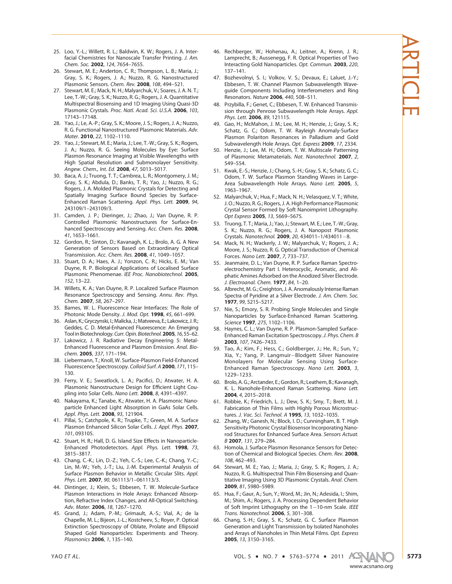- 25. Loo, Y.-L.; Willett, R. L.; Baldwin, K. W.; Rogers, J. A. Interfacial Chemistries for Nanoscale Transfer Printing. J. Am. Chem. Soc. 2002, 124, 7654-7655.
- 26. Stewart, M. E.; Anderton, C. R.; Thompson, L. B.; Maria, J.; Gray, S. K.; Rogers, J. A.; Nuzzo, R. G. Nanostructured Plasmonic Sensors. Chem. Rev. 2008, 108, 494–521.
- 27. Stewart, M. E.; Mack, N. H.; Malyarchuk, V.; Soares, J. A. N. T.; Lee, T.-W.; Gray, S. K.; Nuzzo, R. G.; Rogers, J. A. Quantitative Multispectral Biosensing and 1D Imaging Using Quasi-3D Plasmonic Crystals. Proc. Natl. Acad. Sci. U.S.A. 2006, 103, 17143–17148.
- 28. Yao, J.; Le, A.-P.; Gray, S. K.; Moore, J. S.; Rogers, J. A.; Nuzzo, R. G. Functional Nanostructured Plasmonic Materials. Adv. Mater. 2010, 22, 1102-1110.
- 29. Yao, J.; Stewart, M. E.; Maria, J.; Lee, T.-W.; Gray, S. K.; Rogers, J. A.; Nuzzo, R. G. Seeing Molecules by Eye: Surface Plasmon Resonance Imaging at Visible Wavelengths with High Spatial Resolution and Submonolayer Sensitivity. Angew. Chem., Int. Ed. 2008, 47, 5013-5017.
- 30. Baca, A. J.; Truong, T. T.; Cambrea, L. R.; Montgomery, J. M.; Gray, S. K.; Abdula, D.; Banks, T. R.; Yao, J.; Nuzzo, R. G.; Rogers, J. A. Molded Plasmonic Crystals for Detecting and Spatially Imaging Surface Bound Species by Surface-Enhanced Raman Scattering. Appl. Phys. Lett. 2009, 94, 243109/1–243109/3.
- 31. Camden, J. P.; Dieringer, J.; Zhao, J.; Van Duyne, R. P. Controlled Plasmonic Nanostructures for Surface-Enhanced Spectroscopy and Sensing. Acc. Chem. Res. 2008, 41, 1653–1661.
- 32. Gordon, R.; Sinton, D.; Kavanagh, K. L.; Brolo, A. G. A New Generation of Sensors Based on Extraordinary Optical Transmission. Acc. Chem. Res. 2008, 41, 1049–1057.
- 33. Stuart, D. A.; Haes, A. J.; Yonzon, C. R.; Hicks, E. M.; Van Duyne, R. P. Biological Applications of Localised Surface Plasmonic Phenomenae. IEE Proc. Nanobiotechnol. 2005, 152, 13–22.
- 34. Willets, K. A.; Van Duyne, R. P. Localized Surface Plasmon Resonance Spectroscopy and Sensing. Annu. Rev. Phys. Chem. 2007, 58, 267-297.
- 35. Barnes, W. L. Fluorescence Near Interfaces: The Role of Photonic Mode Density. J. Mod. Opt. 1998, 45, 661–699.
- 36. Aslan, K.; Gryczynski, I.; Malicka, J.; Matveeva, E.; Lakowicz, J. R.; Geddes, C. D. Metal-Enhanced Fluorescence: An Emerging Tool in Biotechnology. Curr. Opin. Biotechnol. 2005, 16, 55–62.
- 37. Lakowicz, J. R. Radiative Decay Engineering 5: Metal-Enhanced Fluorescence and Plasmon Emission. Anal. Biochem. 2005, 337, 171-194.
- 38. Liebermann, T.; Knoll, W. Surface-Plasmon Field-Enhanced Fluorescence Spectroscopy. Colloid Surf. A 2000, 171, 115– 130.
- 39. Ferry, V. E.; Sweatlock, L. A.; Pacifici, D.; Atwater, H. A. Plasmonic Nanostructure Design for Efficient Light Coupling into Solar Cells. Nano Lett. 2008, 8, 4391-4397.
- 40. Nakayama, K.; Tanabe, K.; Atwater, H. A. Plasmonic Nanoparticle Enhanced Light Absorption in GaAs Solar Cells. Appl. Phys. Lett. 2008, 93, 121904.
- 41. Pillai, S.; Catchpole, K. R.; Trupke, T.; Green, M. A. Surface Plasmon Enhanced Silicon Solar Cells. J. Appl. Phys. 2007, 101, 093105.
- 42. Stuart, H. R.; Hall, D. G. Island Size Effects in Nanoparticle-Enhanced Photodetectors. Appl. Phys. Lett. 1998, 73, 3815–3817.
- 43. Chang, C.-K.; Lin, D.-Z.; Yeh, C.-S.; Lee, C.-K.; Chang, Y.-C.; Lin, M.-W.; Yeh, J.-T.; Liu, J.-M. Experimental Analysis of Surface Plasmon Behavior in Metallic Circular Slits. Appl. Phys. Lett. 2007, 90, 061113/1-061113/3.
- 44. Dintinger, J.; Klein, S.; Ebbesen, T. W. Molecule-Surface Plasmon Interactions in Hole Arrays: Enhanced Absorption, Refractive Index Changes, and All-Optical Switching. Adv. Mater. 2006, 18, 1267–1270.
- 45. Grand, J.; Adam, P.-M.; Grimault, A.-S.; Vial, A.; de la Chapelle, M. L.; Bijeon, J.-L.; Kostcheev, S.; Royer, P. Optical Extinction Spectroscopy of Oblate, Prolate and Ellipsoid Shaped Gold Nanoparticles: Experiments and Theory. Plasmonics 2006, 1, 135–140.
- 46. Rechberger, W.; Hohenau, A.; Leitner, A.; Krenn, J. R.; Lamprecht, B.; Aussenegg, F. R. Optical Properties of Two Interacting Gold Nanoparticles. Opt. Commun. 2003, 220, 137–141.
- 47. Bozhevolnyi, S. I.; Volkov, V. S.; Devaux, E.; Laluet, J.-Y.; Ebbesen, T. W. Channel Plasmon Subwavelength Waveguide Components Including Interferometers and Ring Resonators. Nature 2006, 440, 508-511.
- 48. Przybilla, F.; Genet, C.; Ebbesen, T. W. Enhanced Transmission through Penrose Subwavelength Hole Arrays. Appl. Phys. Lett. 2006, 89, 121115.
- 49. Gao, H.; McMahon, J. M.; Lee, M. H.; Henzie, J.; Gray, S. K.; Schatz, G. C.; Odom, T. W. Rayleigh Anomaly-Surface Plasmon Polariton Resonances in Palladium and Gold Subwavelength Hole Arrays. Opt. Express 2009, 17, 2334.
- 50. Henzie, J.; Lee, M. H.; Odom, T. W. Multiscale Patterning of Plasmonic Metamaterials. Nat. Nanotechnol. 2007, 2, 549–554.
- 51. Kwak, E.-S.; Henzie, J.; Chang, S.-H.; Gray, S. K.; Schatz, G. C.; Odom, T. W. Surface Plasmon Standing Waves in Large-Area Subwavelength Hole Arrays. Nano Lett. 2005, 5, 1963–1967.
- 52. Malyarchuk, V.; Hua, F.; Mack, N. H.; Velasquez, V. T.; White, J. O.; Nuzzo, R. G.; Rogers, J. A. High Performance Plasmonic Crystal Sensor Formed by Soft Nanoimprint Lithography. Opt Express 2005, 13, 5669–5675.
- 53. Truong, T. T.; Maria, J.; Yao, J.; Stewart, M. E.; Lee, T.-W.; Gray, S. K.; Nuzzo, R. G.; Rogers, J. A. Nanopost Plasmonic Crystals. Nanotechnol. **2009**, 20, 434011-1/434011-8.
- 54. Mack, N. H.; Wackerly, J. W.; Malyarchuk, V.; Rogers, J. A.; Moore, J. S.; Nuzzo, R. G. Optical Transduction of Chemical Forces. Nano Lett. 2007, 7, 733–737.
- 55. Jeanmaire, D. L.; Van Duyne, R. P. Surface Raman Spectroelectrochemistry Part I. Heterocyclic, Aromatic, and Aliphatic Amines Adsorbed on the Anodized Silver Electrode. J. Electroanal. Chem. 1977, 84, 1–20.
- 56. Albrecht, M. G.; Creighton, J. A. Anomalously Intense Raman Spectra of Pyridine at a Silver Electrode. J. Am. Chem. Soc. 1977, 99, 5215–5217.
- 57. Nie, S.; Emory, S. R. Probing Single Molecules and Single Nanoparticles by Surface-Enhanced Raman Scattering. Science 1997, 275, 1102–1106.
- 58. Haynes, C. L.; Van Duyne, R. P. Plasmon-Sampled Surface-Enhanced Raman Excitation Spectroscopy.J. Phys. Chem. B 2003, 107, 7426–7433.
- 59. Tao, A.; Kim, F.; Hess, C.; Goldberger, J.; He, R.; Sun, Y.; Xia, Y.; Yang, P. Langmuir-Blodgett Silver Nanowire Monolayers for Molecular Sensing Using Surface-Enhanced Raman Spectroscopy. Nano Lett. 2003, 3, 1229–1233.
- 60. Brolo, A. G.; Arctander, E.; Gordon, R.; Leathem, B.; Kavanagh, K. L. Nanohole-Enhanced Raman Scattering. Nano Lett. 2004, 4, 2015–2018.
- 61. Robbie, K.; Friedrich, L. J.; Dew, S. K.; Smy, T.; Brett, M. J. Fabrication of Thin Films with Highly Porous Microstructures. J. Vac. Sci. Technol. A 1995, 13, 1032–1035.
- 62. Zhang, W.; Ganesh, N.; Block, I. D.; Cunningham, B. T. High Sensitivity Photonic Crystal Biosensor Incorporating Nanorod Structures for Enhanced Surface Area. Sensors Actuat. B 2007, 131, 279–284.
- 63. Homola, J. Surface Plasmon Resonance Sensors for Detection of Chemical and Biological Species. Chem. Rev. 2008, 108, 462–493.
- 64. Stewart, M. E.; Yao, J.; Maria, J.; Gray, S. K.; Rogers, J. A.; Nuzzo, R. G. Multispectral Thin Film Biosensing and Quantitative Imaging Using 3D Plasmonic Crystals. Anal. Chem. 2009, 81, 5980–5989.
- 65. Hua, F.; Gaur, A.; Sun, Y.; Word, M.; Jin, N.; Adesida, I.; Shim, M.; Shim, A.; Rogers, J. A. Processing Dependent Behavior of Soft Imprint Lithography on the 1–10-nm Scale. IEEE Trans. Nanotechnol. 2006, 5, 301–308.
- 66. Chang, S.-H.; Gray, S. K.; Schatz, G. C. Surface Plasmon Generation and Light Transmission by Isolated Nanoholes and Arrays of Nanoholes in Thin Metal Films. Opt. Express 2005, 13, 3150–3165.